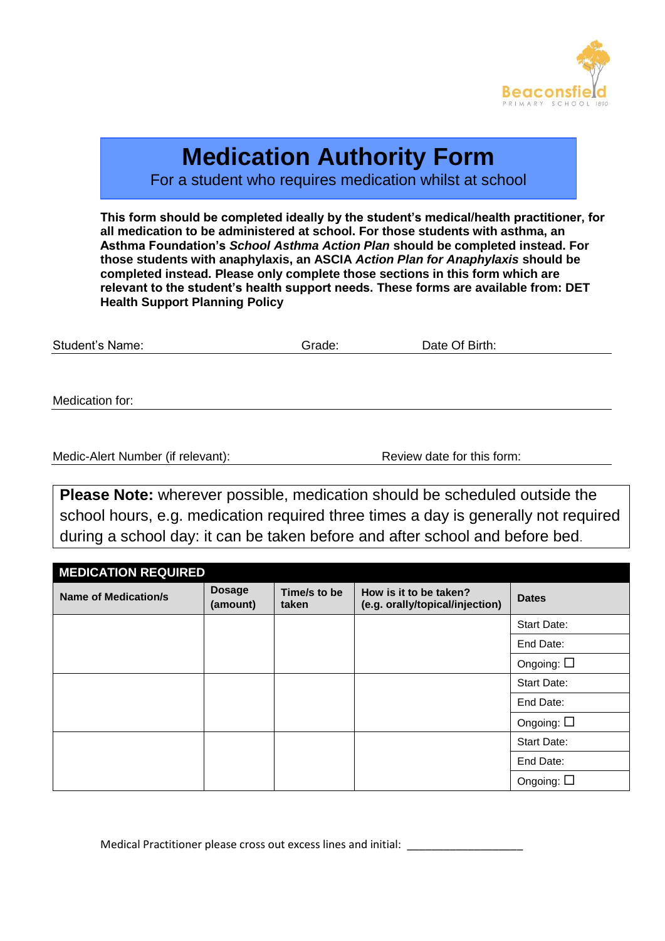

# **Medication Authority Form**

For a student who requires medication whilst at school

**This form should be completed ideally by the student's medical/health practitioner, for all medication to be administered at school. For those students with asthma, an Asthma Foundation's** *School Asthma Action Plan* **should be completed instead. For those students with anaphylaxis, an ASCIA** *Action Plan for Anaphylaxis* **should be completed instead. Please only complete those sections in this form which are relevant to the student's health support needs. These forms are available from: DET Health Support Planning Policy**

| <b>Student's Name:</b> | Grade: | Date Of Birth: |  |
|------------------------|--------|----------------|--|
|                        |        |                |  |
|                        |        |                |  |
| Medication for:        |        |                |  |

Medic-Alert Number (if relevant): Review date for this form:

**Please Note:** wherever possible, medication should be scheduled outside the school hours, e.g. medication required three times a day is generally not required during a school day: it can be taken before and after school and before bed.

| <b>MEDICATION REQUIRED</b>  |                           |                       |                                                           |                    |  |
|-----------------------------|---------------------------|-----------------------|-----------------------------------------------------------|--------------------|--|
| <b>Name of Medication/s</b> | <b>Dosage</b><br>(amount) | Time/s to be<br>taken | How is it to be taken?<br>(e.g. orally/topical/injection) | <b>Dates</b>       |  |
|                             |                           |                       |                                                           | <b>Start Date:</b> |  |
|                             |                           |                       |                                                           | End Date:          |  |
|                             |                           |                       |                                                           | Ongoing: $\square$ |  |
|                             |                           |                       |                                                           | <b>Start Date:</b> |  |
|                             |                           |                       |                                                           | End Date:          |  |
|                             |                           |                       |                                                           | Ongoing: $\square$ |  |
|                             |                           |                       |                                                           | <b>Start Date:</b> |  |
|                             |                           |                       |                                                           | End Date:          |  |
|                             |                           |                       |                                                           | Ongoing: $\square$ |  |

Medical Practitioner please cross out excess lines and initial: